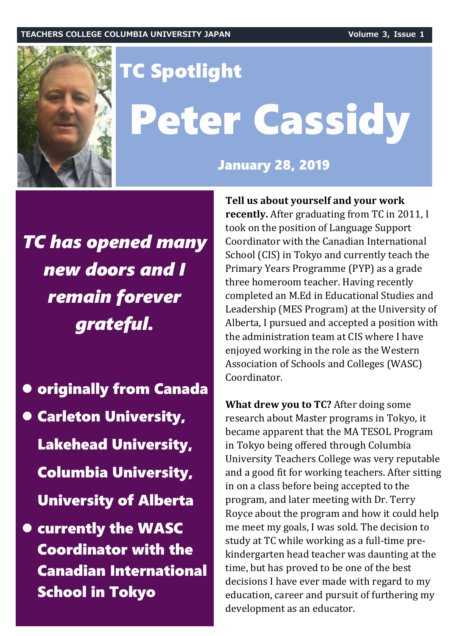

# TC Spotlight Peter Cassidy

### January 28, 2019

*TC has opened many new doors and I remain forever grateful.*

- $\bullet$  **originally from Canada**
- **Carleton University,** Lakehead University, Columbia University, University of Alberta
- $\bullet$  **currently the WASC** Coordinator with the Canadian International School in Tokyo

**Tell us about yourself and your work recently.** After graduating from TC in 2011, I took on the position of Language Support Coordinator with the Canadian International School (CIS) in Tokyo and currently teach the Primary Years Programme (PYP) as a grade three homeroom teacher. Having recently completed an M.Ed in Educational Studies and Leadership (MES Program) at the University of Alberta, I pursued and accepted a position with the administration team at CIS where I have enjoyed working in the role as the Western Association of Schools and Colleges (WASC) Coordinator.

**What drew you to TC?** After doing some research about Master programs in Tokyo, it became apparent that the MA TESOL Program in Tokyo being offered through Columbia University Teachers College was very reputable and a good fit for working teachers. After sitting in on a class before being accepted to the program, and later meeting with Dr. Terry Royce about the program and how it could help me meet my goals, I was sold. The decision to study at TC while working as a full-time prekindergarten head teacher was daunting at the time, but has proved to be one of the best decisions I have ever made with regard to my education, career and pursuit of furthering my development as an educator.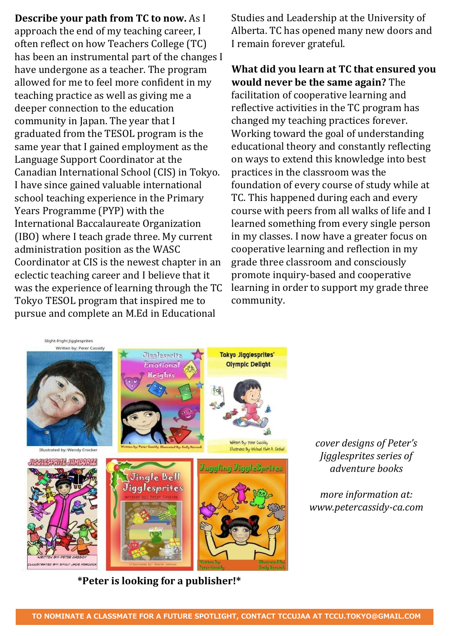**Describe your path from TC to now.** As I approach the end of my teaching career, I often reflect on how Teachers College (TC) has been an instrumental part of the changes I have undergone as a teacher. The program allowed for me to feel more confident in my teaching practice as well as giving me a deeper connection to the education community in Japan. The year that I graduated from the TESOL program is the same year that I gained employment as the Language Support Coordinator at the Canadian International School (CIS) in Tokyo. I have since gained valuable international school teaching experience in the Primary Years Programme (PYP) with the International Baccalaureate Organization (IBO) where I teach grade three. My current administration position as the WASC Coordinator at CIS is the newest chapter in an eclectic teaching career and I believe that it was the experience of learning through the TC Tokyo TESOL program that inspired me to pursue and complete an M.Ed in Educational

Studies and Leadership at the University of Alberta. TC has opened many new doors and I remain forever grateful.

**What did you learn at TC that ensured you would never be the same again?** The facilitation of cooperative learning and reflective activities in the TC program has changed my teaching practices forever. Working toward the goal of understanding educational theory and constantly reflecting on ways to extend this knowledge into best practices in the classroom was the foundation of every course of study while at TC. This happened during each and every course with peers from all walks of life and I learned something from every single person in my classes. I now have a greater focus on cooperative learning and reflection in my grade three classroom and consciously promote inquiry-based and cooperative learning in order to support my grade three community.



**\*Peter is looking for a publisher!\***

*cover designs of Peter's Jigglesprites series of adventure books*

*more information at: www.petercassidy-ca.com*